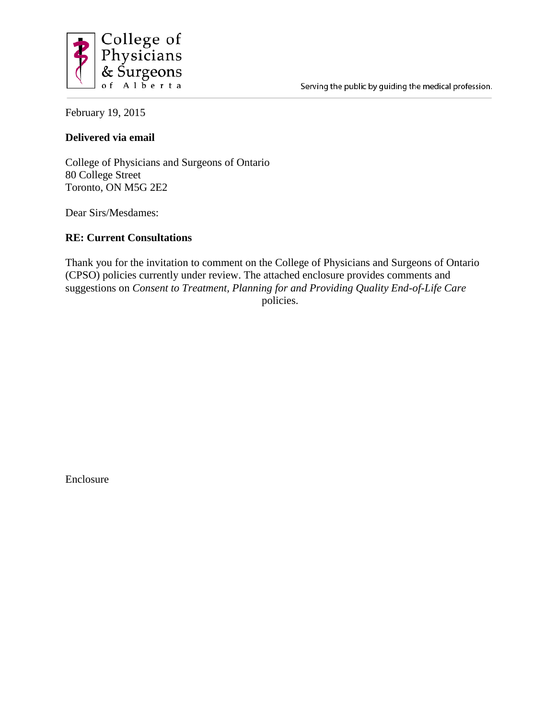

February 19, 2015

## **Delivered via email**

College of Physicians and Surgeons of Ontario 80 College Street Toronto, ON M5G 2E2

Dear Sirs/Mesdames:

## **RE: Current Consultations**

Thank you for the invitation to comment on the College of Physicians and Surgeons of Ontario (CPSO) policies currently under review. The attached enclosure provides comments and suggestions on *Consent to Treatment, Planning for and Providing Quality End-of-Life Care*  policies.

Enclosure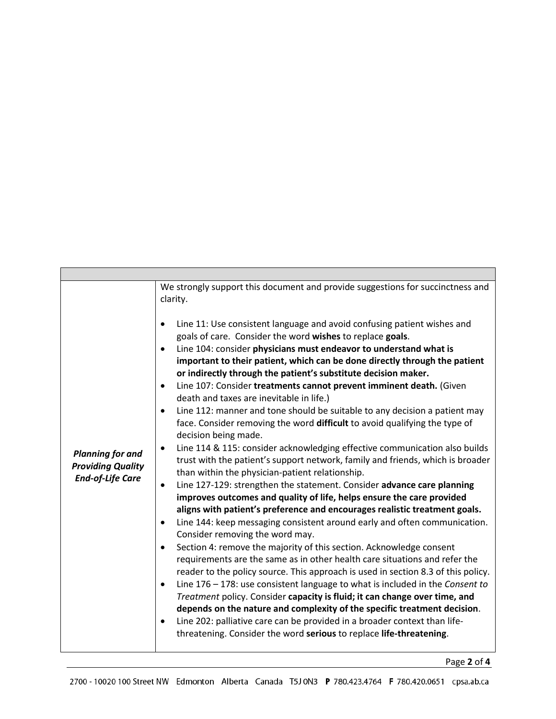| <b>Planning for and</b><br><b>Providing Quality</b><br><b>End-of-Life Care</b> | We strongly support this document and provide suggestions for succinctness and<br>clarity.<br>Line 11: Use consistent language and avoid confusing patient wishes and<br>goals of care. Consider the word wishes to replace goals.<br>Line 104: consider physicians must endeavor to understand what is<br>$\bullet$<br>important to their patient, which can be done directly through the patient<br>or indirectly through the patient's substitute decision maker.<br>Line 107: Consider treatments cannot prevent imminent death. (Given<br>$\bullet$<br>death and taxes are inevitable in life.)<br>Line 112: manner and tone should be suitable to any decision a patient may<br>$\bullet$<br>face. Consider removing the word difficult to avoid qualifying the type of<br>decision being made.<br>Line 114 & 115: consider acknowledging effective communication also builds<br>٠<br>trust with the patient's support network, family and friends, which is broader<br>than within the physician-patient relationship.<br>Line 127-129: strengthen the statement. Consider advance care planning<br>improves outcomes and quality of life, helps ensure the care provided<br>aligns with patient's preference and encourages realistic treatment goals.<br>Line 144: keep messaging consistent around early and often communication.<br>٠<br>Consider removing the word may.<br>Section 4: remove the majority of this section. Acknowledge consent<br>requirements are the same as in other health care situations and refer the<br>reader to the policy source. This approach is used in section 8.3 of this policy.<br>Line $176 - 178$ : use consistent language to what is included in the Consent to<br>$\bullet$<br>Treatment policy. Consider capacity is fluid; it can change over time, and<br>depends on the nature and complexity of the specific treatment decision.<br>Line 202: palliative care can be provided in a broader context than life-<br>٠<br>threatening. Consider the word serious to replace life-threatening. |
|--------------------------------------------------------------------------------|---------------------------------------------------------------------------------------------------------------------------------------------------------------------------------------------------------------------------------------------------------------------------------------------------------------------------------------------------------------------------------------------------------------------------------------------------------------------------------------------------------------------------------------------------------------------------------------------------------------------------------------------------------------------------------------------------------------------------------------------------------------------------------------------------------------------------------------------------------------------------------------------------------------------------------------------------------------------------------------------------------------------------------------------------------------------------------------------------------------------------------------------------------------------------------------------------------------------------------------------------------------------------------------------------------------------------------------------------------------------------------------------------------------------------------------------------------------------------------------------------------------------------------------------------------------------------------------------------------------------------------------------------------------------------------------------------------------------------------------------------------------------------------------------------------------------------------------------------------------------------------------------------------------------------------------------------------------------------------------------------------------------------------------------------|

Page **2** of **4**

h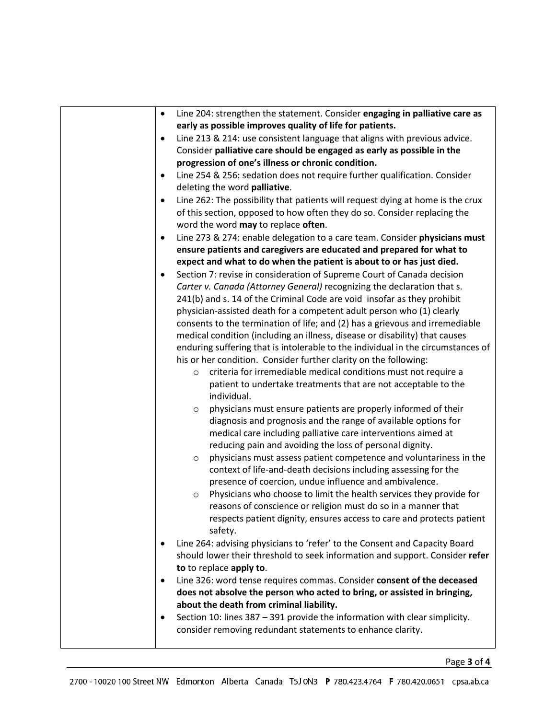| Line 204: strengthen the statement. Consider engaging in palliative care as<br>٠                                                                                |
|-----------------------------------------------------------------------------------------------------------------------------------------------------------------|
| early as possible improves quality of life for patients.                                                                                                        |
| Line 213 & 214: use consistent language that aligns with previous advice.<br>٠                                                                                  |
| Consider palliative care should be engaged as early as possible in the                                                                                          |
| progression of one's illness or chronic condition.                                                                                                              |
| Line 254 & 256: sedation does not require further qualification. Consider<br>deleting the word palliative.                                                      |
| Line 262: The possibility that patients will request dying at home is the crux<br>٠<br>of this section, opposed to how often they do so. Consider replacing the |
| word the word may to replace often.                                                                                                                             |
| Line 273 & 274: enable delegation to a care team. Consider physicians must<br>٠                                                                                 |
| ensure patients and caregivers are educated and prepared for what to                                                                                            |
| expect and what to do when the patient is about to or has just died.                                                                                            |
| Section 7: revise in consideration of Supreme Court of Canada decision<br>٠                                                                                     |
| Carter v. Canada (Attorney General) recognizing the declaration that s.                                                                                         |
| 241(b) and s. 14 of the Criminal Code are void insofar as they prohibit                                                                                         |
| physician-assisted death for a competent adult person who (1) clearly                                                                                           |
| consents to the termination of life; and (2) has a grievous and irremediable                                                                                    |
| medical condition (including an illness, disease or disability) that causes                                                                                     |
| enduring suffering that is intolerable to the individual in the circumstances of                                                                                |
| his or her condition. Consider further clarity on the following:                                                                                                |
| criteria for irremediable medical conditions must not require a<br>$\circ$                                                                                      |
| patient to undertake treatments that are not acceptable to the<br>individual.                                                                                   |
| physicians must ensure patients are properly informed of their<br>$\circ$                                                                                       |
| diagnosis and prognosis and the range of available options for                                                                                                  |
| medical care including palliative care interventions aimed at                                                                                                   |
| reducing pain and avoiding the loss of personal dignity.                                                                                                        |
| physicians must assess patient competence and voluntariness in the<br>$\circ$                                                                                   |
| context of life-and-death decisions including assessing for the                                                                                                 |
| presence of coercion, undue influence and ambivalence.                                                                                                          |
| Physicians who choose to limit the health services they provide for<br>$\circ$                                                                                  |
| reasons of conscience or religion must do so in a manner that                                                                                                   |
| respects patient dignity, ensures access to care and protects patient<br>safety.                                                                                |
| Line 264: advising physicians to 'refer' to the Consent and Capacity Board<br>٠                                                                                 |
| should lower their threshold to seek information and support. Consider refer                                                                                    |
| to to replace apply to.                                                                                                                                         |
| Line 326: word tense requires commas. Consider consent of the deceased<br>٠                                                                                     |
| does not absolve the person who acted to bring, or assisted in bringing,                                                                                        |
| about the death from criminal liability.                                                                                                                        |
| Section 10: lines 387 - 391 provide the information with clear simplicity.                                                                                      |
| consider removing redundant statements to enhance clarity.                                                                                                      |
|                                                                                                                                                                 |